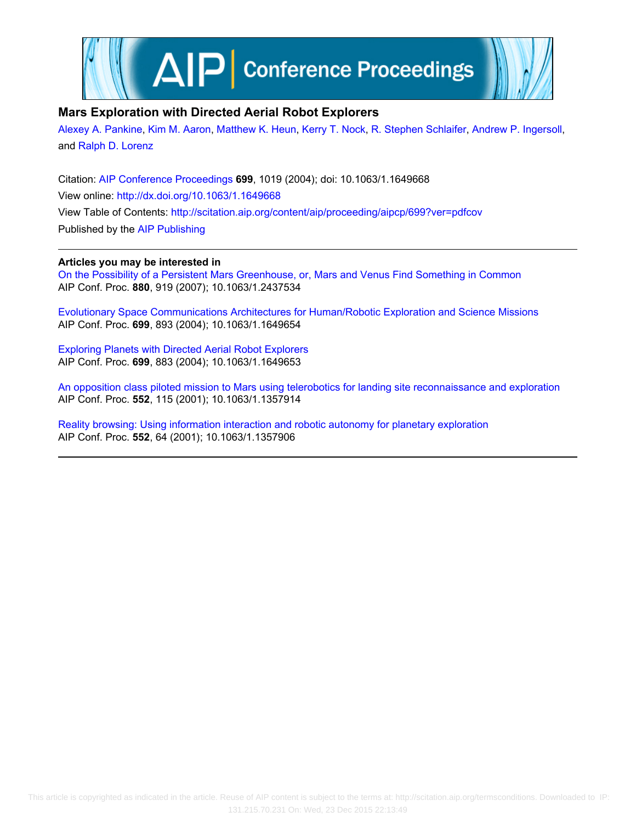

# **Mars Exploration with Directed Aerial Robot Explorers**

[Alexey A. Pankine](http://scitation.aip.org/search?value1=Alexey+A.+Pankine&option1=author), [Kim M. Aaron](http://scitation.aip.org/search?value1=Kim+M.+Aaron&option1=author), [Matthew K. Heun](http://scitation.aip.org/search?value1=Matthew+K.+Heun&option1=author), [Kerry T. Nock,](http://scitation.aip.org/search?value1=Kerry+T.+Nock&option1=author) [R. Stephen Schlaifer](http://scitation.aip.org/search?value1=R.+Stephen+Schlaifer&option1=author), [Andrew P. Ingersoll](http://scitation.aip.org/search?value1=Andrew+P.+Ingersoll&option1=author), and [Ralph D. Lorenz](http://scitation.aip.org/search?value1=Ralph+D.+Lorenz&option1=author)

Citation: [AIP Conference Proceedings](http://scitation.aip.org/content/aip/proceeding/aipcp?ver=pdfcov) **699**, 1019 (2004); doi: 10.1063/1.1649668 View online: <http://dx.doi.org/10.1063/1.1649668> View Table of Contents: <http://scitation.aip.org/content/aip/proceeding/aipcp/699?ver=pdfcov> Published by the [AIP Publishing](http://scitation.aip.org/content/aip?ver=pdfcov)

#### **Articles you may be interested in**

[On the Possibility of a Persistent Mars Greenhouse, or, Mars and Venus Find Something in Common](http://scitation.aip.org/content/aip/proceeding/aipcp/10.1063/1.2437534?ver=pdfcov) AIP Conf. Proc. **880**, 919 (2007); 10.1063/1.2437534

[Evolutionary Space Communications Architectures for Human/Robotic Exploration and Science Missions](http://scitation.aip.org/content/aip/proceeding/aipcp/10.1063/1.1649654?ver=pdfcov) AIP Conf. Proc. **699**, 893 (2004); 10.1063/1.1649654

[Exploring Planets with Directed Aerial Robot Explorers](http://scitation.aip.org/content/aip/proceeding/aipcp/10.1063/1.1649653?ver=pdfcov) AIP Conf. Proc. **699**, 883 (2004); 10.1063/1.1649653

[An opposition class piloted mission to Mars using telerobotics for landing site reconnaissance and exploration](http://scitation.aip.org/content/aip/proceeding/aipcp/10.1063/1.1357914?ver=pdfcov) AIP Conf. Proc. **552**, 115 (2001); 10.1063/1.1357914

[Reality browsing: Using information interaction and robotic autonomy for planetary exploration](http://scitation.aip.org/content/aip/proceeding/aipcp/10.1063/1.1357906?ver=pdfcov) AIP Conf. Proc. **552**, 64 (2001); 10.1063/1.1357906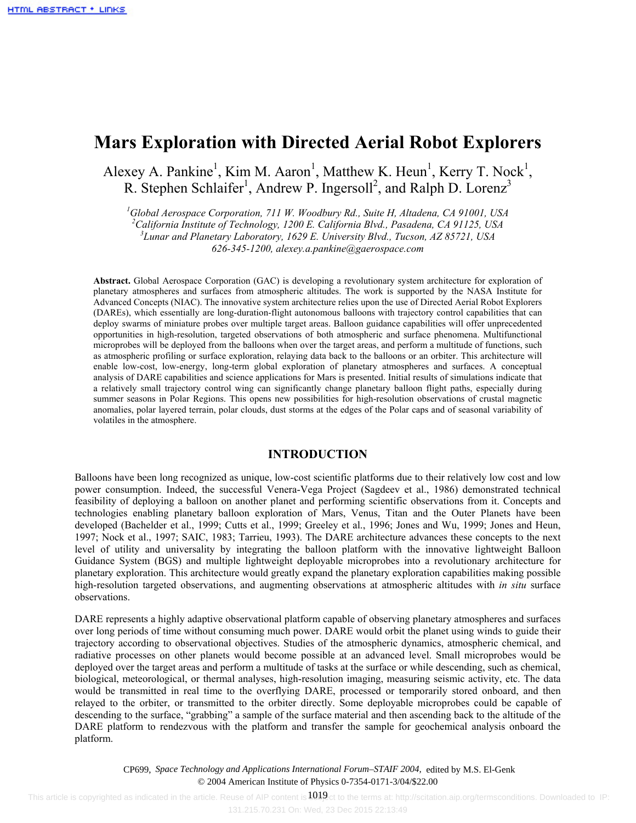# **Mars Exploration with Directed Aerial Robot Explorers**

Alexey A. Pankine<sup>1</sup>, Kim M. Aaron<sup>1</sup>, Matthew K. Heun<sup>1</sup>, Kerry T. Nock<sup>1</sup>, R. Stephen Schlaifer<sup>1</sup>, Andrew P. Ingersoll<sup>2</sup>, and Ralph D. Lorenz<sup>3</sup>

*1 Global Aerospace Corporation, 711 W. Woodbury Rd., Suite H, Altadena, CA 91001, USA 2 California Institute of Technology, 1200 E. California Blvd., Pasadena, CA 91125, USA 3 Lunar and Planetary Laboratory, 1629 E. University Blvd., Tucson, AZ 85721, USA 626-345-1200, alexey.a.pankine@gaerospace.com* 

**Abstract.** Global Aerospace Corporation (GAC) is developing a revolutionary system architecture for exploration of planetary atmospheres and surfaces from atmospheric altitudes. The work is supported by the NASA Institute for Advanced Concepts (NIAC). The innovative system architecture relies upon the use of Directed Aerial Robot Explorers (DAREs), which essentially are long-duration-flight autonomous balloons with trajectory control capabilities that can deploy swarms of miniature probes over multiple target areas. Balloon guidance capabilities will offer unprecedented opportunities in high-resolution, targeted observations of both atmospheric and surface phenomena. Multifunctional microprobes will be deployed from the balloons when over the target areas, and perform a multitude of functions, such as atmospheric profiling or surface exploration, relaying data back to the balloons or an orbiter. This architecture will enable low-cost, low-energy, long-term global exploration of planetary atmospheres and surfaces. A conceptual analysis of DARE capabilities and science applications for Mars is presented. Initial results of simulations indicate that a relatively small trajectory control wing can significantly change planetary balloon flight paths, especially during summer seasons in Polar Regions. This opens new possibilities for high-resolution observations of crustal magnetic anomalies, polar layered terrain, polar clouds, dust storms at the edges of the Polar caps and of seasonal variability of volatiles in the atmosphere.

#### **INTRODUCTION**

Balloons have been long recognized as unique, low-cost scientific platforms due to their relatively low cost and low power consumption. Indeed, the successful Venera-Vega Project (Sagdeev et al., 1986) demonstrated technical feasibility of deploying a balloon on another planet and performing scientific observations from it. Concepts and technologies enabling planetary balloon exploration of Mars, Venus, Titan and the Outer Planets have been developed (Bachelder et al., 1999; Cutts et al., 1999; Greeley et al., 1996; Jones and Wu, 1999; Jones and Heun, 1997; Nock et al., 1997; SAIC, 1983; Tarrieu, 1993). The DARE architecture advances these concepts to the next level of utility and universality by integrating the balloon platform with the innovative lightweight Balloon Guidance System (BGS) and multiple lightweight deployable microprobes into a revolutionary architecture for planetary exploration. This architecture would greatly expand the planetary exploration capabilities making possible high-resolution targeted observations, and augmenting observations at atmospheric altitudes with *in situ* surface observations.

DARE represents a highly adaptive observational platform capable of observing planetary atmospheres and surfaces over long periods of time without consuming much power. DARE would orbit the planet using winds to guide their trajectory according to observational objectives. Studies of the atmospheric dynamics, atmospheric chemical, and radiative processes on other planets would become possible at an advanced level. Small microprobes would be deployed over the target areas and perform a multitude of tasks at the surface or while descending, such as chemical, biological, meteorological, or thermal analyses, high-resolution imaging, measuring seismic activity, etc. The data would be transmitted in real time to the overflying DARE, processed or temporarily stored onboard, and then relayed to the orbiter, or transmitted to the orbiter directly. Some deployable microprobes could be capable of descending to the surface, "grabbing" a sample of the surface material and then ascending back to the altitude of the DARE platform to rendezvous with the platform and transfer the sample for geochemical analysis onboard the platform.

© 2004 American Institute of Physics 0-7354-0171-3/04/\$22.00 CP699, *Space Technology and Applications International Forum–STAIF 2004,* edited by M.S. El-Genk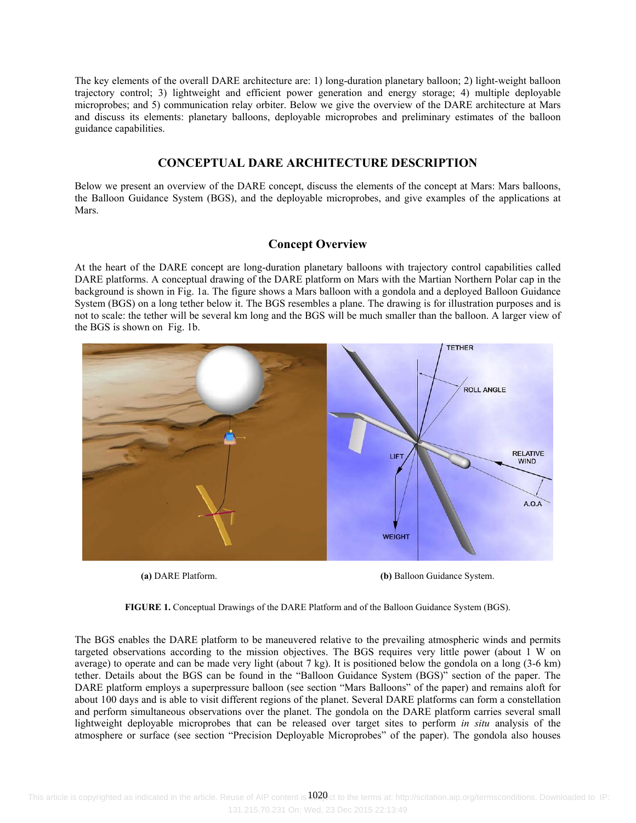The key elements of the overall DARE architecture are: 1) long-duration planetary balloon; 2) light-weight balloon trajectory control; 3) lightweight and efficient power generation and energy storage; 4) multiple deployable microprobes; and 5) communication relay orbiter. Below we give the overview of the DARE architecture at Mars and discuss its elements: planetary balloons, deployable microprobes and preliminary estimates of the balloon guidance capabilities.

# **CONCEPTUAL DARE ARCHITECTURE DESCRIPTION**

Below we present an overview of the DARE concept, discuss the elements of the concept at Mars: Mars balloons, the Balloon Guidance System (BGS), and the deployable microprobes, and give examples of the applications at Mars.

#### **Concept Overview**

At the heart of the DARE concept are long-duration planetary balloons with trajectory control capabilities called DARE platforms. A conceptual drawing of the DARE platform on Mars with the Martian Northern Polar cap in the background is shown in Fig. 1a. The figure shows a Mars balloon with a gondola and a deployed Balloon Guidance System (BGS) on a long tether below it. The BGS resembles a plane. The drawing is for illustration purposes and is not to scale: the tether will be several km long and the BGS will be much smaller than the balloon. A larger view of the BGS is shown on Fig. 1b.





**FIGURE 1.** Conceptual Drawings of the DARE Platform and of the Balloon Guidance System (BGS).

The BGS enables the DARE platform to be maneuvered relative to the prevailing atmospheric winds and permits targeted observations according to the mission objectives. The BGS requires very little power (about 1 W on average) to operate and can be made very light (about 7 kg). It is positioned below the gondola on a long (3-6 km) tether. Details about the BGS can be found in the "Balloon Guidance System (BGS)" section of the paper. The DARE platform employs a superpressure balloon (see section "Mars Balloons" of the paper) and remains aloft for about 100 days and is able to visit different regions of the planet. Several DARE platforms can form a constellation and perform simultaneous observations over the planet. The gondola on the DARE platform carries several small lightweight deployable microprobes that can be released over target sites to perform *in situ* analysis of the atmosphere or surface (see section "Precision Deployable Microprobes" of the paper). The gondola also houses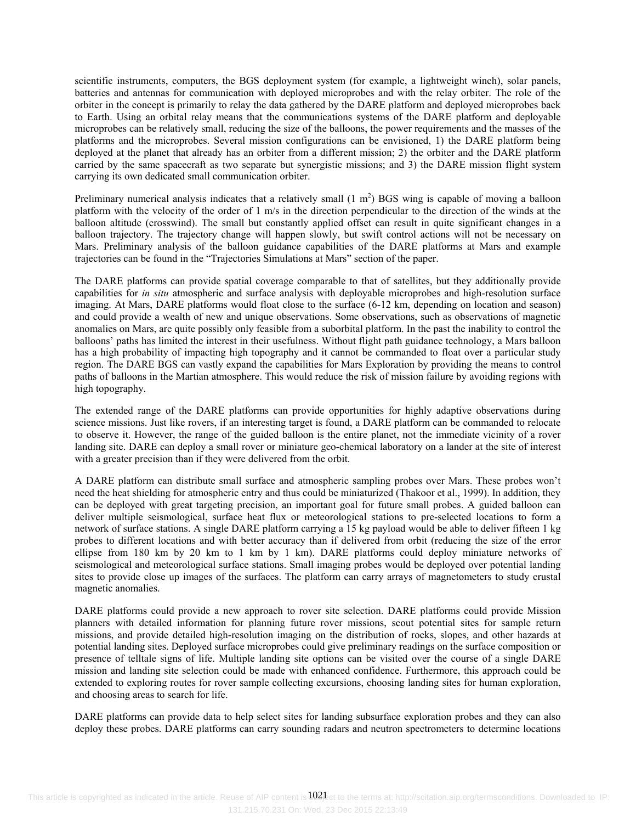scientific instruments, computers, the BGS deployment system (for example, a lightweight winch), solar panels, batteries and antennas for communication with deployed microprobes and with the relay orbiter. The role of the orbiter in the concept is primarily to relay the data gathered by the DARE platform and deployed microprobes back to Earth. Using an orbital relay means that the communications systems of the DARE platform and deployable microprobes can be relatively small, reducing the size of the balloons, the power requirements and the masses of the platforms and the microprobes. Several mission configurations can be envisioned, 1) the DARE platform being deployed at the planet that already has an orbiter from a different mission; 2) the orbiter and the DARE platform carried by the same spacecraft as two separate but synergistic missions; and 3) the DARE mission flight system carrying its own dedicated small communication orbiter.

Preliminary numerical analysis indicates that a relatively small  $(1 \text{ m}^2)$  BGS wing is capable of moving a balloon platform with the velocity of the order of 1 m/s in the direction perpendicular to the direction of the winds at the balloon altitude (crosswind). The small but constantly applied offset can result in quite significant changes in a balloon trajectory. The trajectory change will happen slowly, but swift control actions will not be necessary on Mars. Preliminary analysis of the balloon guidance capabilities of the DARE platforms at Mars and example trajectories can be found in the "Trajectories Simulations at Mars" section of the paper.

The DARE platforms can provide spatial coverage comparable to that of satellites, but they additionally provide capabilities for *in situ* atmospheric and surface analysis with deployable microprobes and high-resolution surface imaging. At Mars, DARE platforms would float close to the surface (6-12 km, depending on location and season) and could provide a wealth of new and unique observations. Some observations, such as observations of magnetic anomalies on Mars, are quite possibly only feasible from a suborbital platform. In the past the inability to control the balloons' paths has limited the interest in their usefulness. Without flight path guidance technology, a Mars balloon has a high probability of impacting high topography and it cannot be commanded to float over a particular study region. The DARE BGS can vastly expand the capabilities for Mars Exploration by providing the means to control paths of balloons in the Martian atmosphere. This would reduce the risk of mission failure by avoiding regions with high topography.

The extended range of the DARE platforms can provide opportunities for highly adaptive observations during science missions. Just like rovers, if an interesting target is found, a DARE platform can be commanded to relocate to observe it. However, the range of the guided balloon is the entire planet, not the immediate vicinity of a rover landing site. DARE can deploy a small rover or miniature geo-chemical laboratory on a lander at the site of interest with a greater precision than if they were delivered from the orbit.

A DARE platform can distribute small surface and atmospheric sampling probes over Mars. These probes won't need the heat shielding for atmospheric entry and thus could be miniaturized (Thakoor et al., 1999). In addition, they can be deployed with great targeting precision, an important goal for future small probes. A guided balloon can deliver multiple seismological, surface heat flux or meteorological stations to pre-selected locations to form a network of surface stations. A single DARE platform carrying a 15 kg payload would be able to deliver fifteen 1 kg probes to different locations and with better accuracy than if delivered from orbit (reducing the size of the error ellipse from 180 km by 20 km to 1 km by 1 km). DARE platforms could deploy miniature networks of seismological and meteorological surface stations. Small imaging probes would be deployed over potential landing sites to provide close up images of the surfaces. The platform can carry arrays of magnetometers to study crustal magnetic anomalies.

DARE platforms could provide a new approach to rover site selection. DARE platforms could provide Mission planners with detailed information for planning future rover missions, scout potential sites for sample return missions, and provide detailed high-resolution imaging on the distribution of rocks, slopes, and other hazards at potential landing sites. Deployed surface microprobes could give preliminary readings on the surface composition or presence of telltale signs of life. Multiple landing site options can be visited over the course of a single DARE mission and landing site selection could be made with enhanced confidence. Furthermore, this approach could be extended to exploring routes for rover sample collecting excursions, choosing landing sites for human exploration, and choosing areas to search for life.

DARE platforms can provide data to help select sites for landing subsurface exploration probes and they can also deploy these probes. DARE platforms can carry sounding radars and neutron spectrometers to determine locations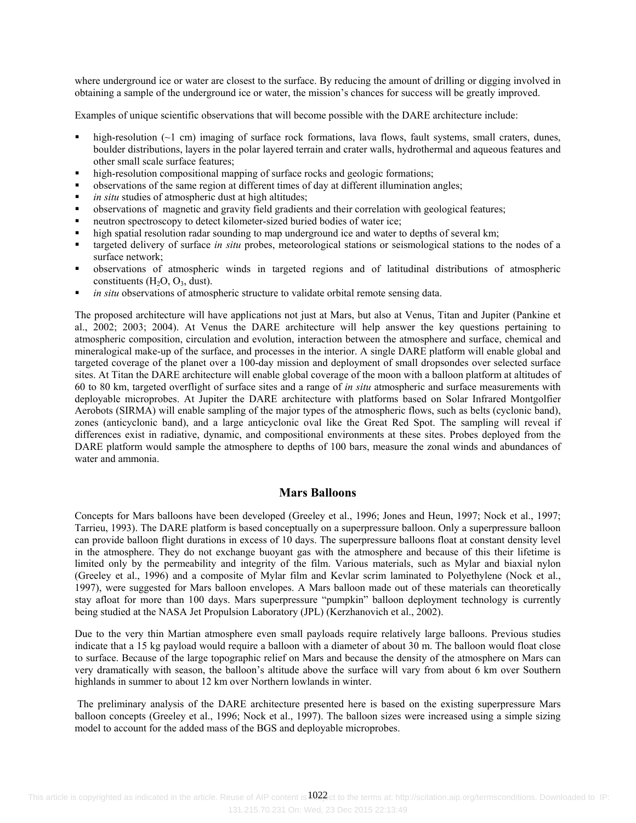where underground ice or water are closest to the surface. By reducing the amount of drilling or digging involved in obtaining a sample of the underground ice or water, the mission's chances for success will be greatly improved.

Examples of unique scientific observations that will become possible with the DARE architecture include:

- high-resolution  $(\sim1 \text{ cm})$  imaging of surface rock formations, lava flows, fault systems, small craters, dunes, boulder distributions, layers in the polar layered terrain and crater walls, hydrothermal and aqueous features and other small scale surface features;
- high-resolution compositional mapping of surface rocks and geologic formations;
- observations of the same region at different times of day at different illumination angles;
- *in situ* studies of atmospheric dust at high altitudes;
- observations of magnetic and gravity field gradients and their correlation with geological features;
- neutron spectroscopy to detect kilometer-sized buried bodies of water ice;
- high spatial resolution radar sounding to map underground ice and water to depths of several km;
- targeted delivery of surface *in situ* probes, meteorological stations or seismological stations to the nodes of a surface network;
- observations of atmospheric winds in targeted regions and of latitudinal distributions of atmospheric constituents  $(H<sub>2</sub>O, O<sub>3</sub>, dust)$ .
- *in situ* observations of atmospheric structure to validate orbital remote sensing data.

The proposed architecture will have applications not just at Mars, but also at Venus, Titan and Jupiter (Pankine et al., 2002; 2003; 2004). At Venus the DARE architecture will help answer the key questions pertaining to atmospheric composition, circulation and evolution, interaction between the atmosphere and surface, chemical and mineralogical make-up of the surface, and processes in the interior. A single DARE platform will enable global and targeted coverage of the planet over a 100-day mission and deployment of small dropsondes over selected surface sites. At Titan the DARE architecture will enable global coverage of the moon with a balloon platform at altitudes of 60 to 80 km, targeted overflight of surface sites and a range of *in situ* atmospheric and surface measurements with deployable microprobes. At Jupiter the DARE architecture with platforms based on Solar Infrared Montgolfier Aerobots (SIRMA) will enable sampling of the major types of the atmospheric flows, such as belts (cyclonic band), zones (anticyclonic band), and a large anticyclonic oval like the Great Red Spot. The sampling will reveal if differences exist in radiative, dynamic, and compositional environments at these sites. Probes deployed from the DARE platform would sample the atmosphere to depths of 100 bars, measure the zonal winds and abundances of water and ammonia.

#### **Mars Balloons**

Concepts for Mars balloons have been developed (Greeley et al., 1996; Jones and Heun, 1997; Nock et al., 1997; Tarrieu, 1993). The DARE platform is based conceptually on a superpressure balloon. Only a superpressure balloon can provide balloon flight durations in excess of 10 days. The superpressure balloons float at constant density level in the atmosphere. They do not exchange buoyant gas with the atmosphere and because of this their lifetime is limited only by the permeability and integrity of the film. Various materials, such as Mylar and biaxial nylon (Greeley et al., 1996) and a composite of Mylar film and Kevlar scrim laminated to Polyethylene (Nock et al., 1997), were suggested for Mars balloon envelopes. A Mars balloon made out of these materials can theoretically stay afloat for more than 100 days. Mars superpressure "pumpkin" balloon deployment technology is currently being studied at the NASA Jet Propulsion Laboratory (JPL) (Kerzhanovich et al., 2002).

Due to the very thin Martian atmosphere even small payloads require relatively large balloons. Previous studies indicate that a 15 kg payload would require a balloon with a diameter of about 30 m. The balloon would float close to surface. Because of the large topographic relief on Mars and because the density of the atmosphere on Mars can very dramatically with season, the balloon's altitude above the surface will vary from about 6 km over Southern highlands in summer to about 12 km over Northern lowlands in winter.

 The preliminary analysis of the DARE architecture presented here is based on the existing superpressure Mars balloon concepts (Greeley et al., 1996; Nock et al., 1997). The balloon sizes were increased using a simple sizing model to account for the added mass of the BGS and deployable microprobes.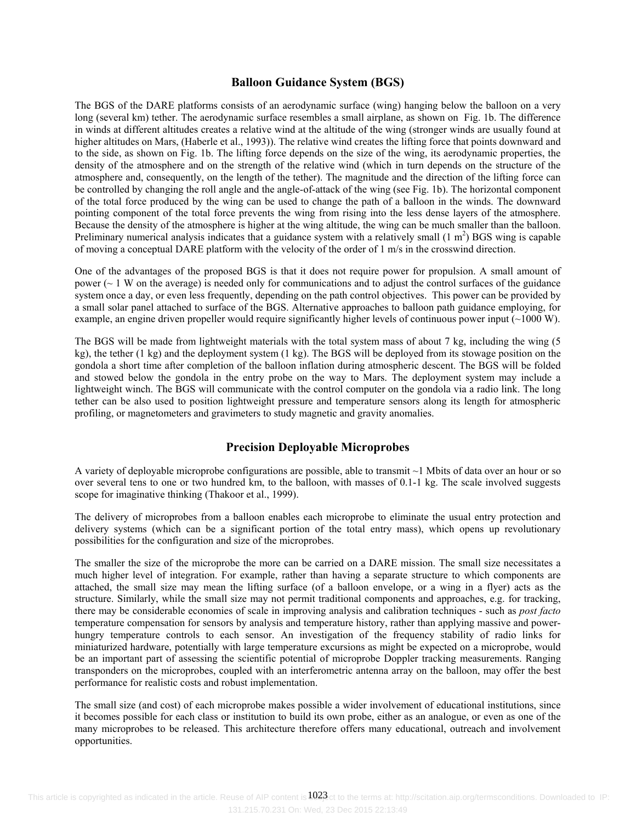### **Balloon Guidance System (BGS)**

The BGS of the DARE platforms consists of an aerodynamic surface (wing) hanging below the balloon on a very long (several km) tether. The aerodynamic surface resembles a small airplane, as shown on Fig. 1b. The difference in winds at different altitudes creates a relative wind at the altitude of the wing (stronger winds are usually found at higher altitudes on Mars, (Haberle et al., 1993)). The relative wind creates the lifting force that points downward and to the side, as shown on Fig. 1b. The lifting force depends on the size of the wing, its aerodynamic properties, the density of the atmosphere and on the strength of the relative wind (which in turn depends on the structure of the atmosphere and, consequently, on the length of the tether). The magnitude and the direction of the lifting force can be controlled by changing the roll angle and the angle-of-attack of the wing (see Fig. 1b). The horizontal component of the total force produced by the wing can be used to change the path of a balloon in the winds. The downward pointing component of the total force prevents the wing from rising into the less dense layers of the atmosphere. Because the density of the atmosphere is higher at the wing altitude, the wing can be much smaller than the balloon. Preliminary numerical analysis indicates that a guidance system with a relatively small  $(1 \text{ m}^2)$  BGS wing is capable of moving a conceptual DARE platform with the velocity of the order of 1 m/s in the crosswind direction.

One of the advantages of the proposed BGS is that it does not require power for propulsion. A small amount of power ( $\sim$  1 W on the average) is needed only for communications and to adjust the control surfaces of the guidance system once a day, or even less frequently, depending on the path control objectives. This power can be provided by a small solar panel attached to surface of the BGS. Alternative approaches to balloon path guidance employing, for example, an engine driven propeller would require significantly higher levels of continuous power input (~1000 W).

The BGS will be made from lightweight materials with the total system mass of about 7 kg, including the wing (5 kg), the tether (1 kg) and the deployment system (1 kg). The BGS will be deployed from its stowage position on the gondola a short time after completion of the balloon inflation during atmospheric descent. The BGS will be folded and stowed below the gondola in the entry probe on the way to Mars. The deployment system may include a lightweight winch. The BGS will communicate with the control computer on the gondola via a radio link. The long tether can be also used to position lightweight pressure and temperature sensors along its length for atmospheric profiling, or magnetometers and gravimeters to study magnetic and gravity anomalies.

## **Precision Deployable Microprobes**

A variety of deployable microprobe configurations are possible, able to transmit ~1 Mbits of data over an hour or so over several tens to one or two hundred km, to the balloon, with masses of 0.1-1 kg. The scale involved suggests scope for imaginative thinking (Thakoor et al., 1999).

The delivery of microprobes from a balloon enables each microprobe to eliminate the usual entry protection and delivery systems (which can be a significant portion of the total entry mass), which opens up revolutionary possibilities for the configuration and size of the microprobes.

The smaller the size of the microprobe the more can be carried on a DARE mission. The small size necessitates a much higher level of integration. For example, rather than having a separate structure to which components are attached, the small size may mean the lifting surface (of a balloon envelope, or a wing in a flyer) acts as the structure. Similarly, while the small size may not permit traditional components and approaches, e.g. for tracking, there may be considerable economies of scale in improving analysis and calibration techniques - such as *post facto* temperature compensation for sensors by analysis and temperature history, rather than applying massive and powerhungry temperature controls to each sensor. An investigation of the frequency stability of radio links for miniaturized hardware, potentially with large temperature excursions as might be expected on a microprobe, would be an important part of assessing the scientific potential of microprobe Doppler tracking measurements. Ranging transponders on the microprobes, coupled with an interferometric antenna array on the balloon, may offer the best performance for realistic costs and robust implementation.

The small size (and cost) of each microprobe makes possible a wider involvement of educational institutions, since it becomes possible for each class or institution to build its own probe, either as an analogue, or even as one of the many microprobes to be released. This architecture therefore offers many educational, outreach and involvement opportunities.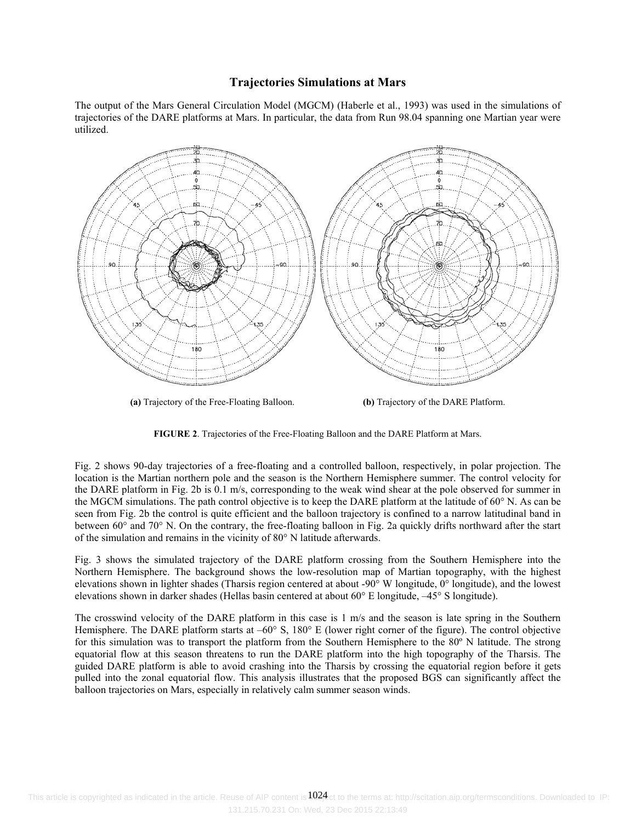## **Trajectories Simulations at Mars**

The output of the Mars General Circulation Model (MGCM) (Haberle et al., 1993) was used in the simulations of trajectories of the DARE platforms at Mars. In particular, the data from Run 98.04 spanning one Martian year were utilized.



**(a)** Trajectory of the Free-Floating Balloon. **(b)** Trajectory of the DARE Platform.

**FIGURE 2**. Trajectories of the Free-Floating Balloon and the DARE Platform at Mars.

Fig. 2 shows 90-day trajectories of a free-floating and a controlled balloon, respectively, in polar projection. The location is the Martian northern pole and the season is the Northern Hemisphere summer. The control velocity for the DARE platform in Fig. 2b is 0.1 m/s, corresponding to the weak wind shear at the pole observed for summer in the MGCM simulations. The path control objective is to keep the DARE platform at the latitude of 60° N. As can be seen from Fig. 2b the control is quite efficient and the balloon trajectory is confined to a narrow latitudinal band in between 60° and 70° N. On the contrary, the free-floating balloon in Fig. 2a quickly drifts northward after the start of the simulation and remains in the vicinity of 80° N latitude afterwards.

Fig. 3 shows the simulated trajectory of the DARE platform crossing from the Southern Hemisphere into the Northern Hemisphere. The background shows the low-resolution map of Martian topography, with the highest elevations shown in lighter shades (Tharsis region centered at about -90° W longitude, 0° longitude), and the lowest elevations shown in darker shades (Hellas basin centered at about 60° E longitude, –45° S longitude).

The crosswind velocity of the DARE platform in this case is 1 m/s and the season is late spring in the Southern Hemisphere. The DARE platform starts at  $-60^\circ$  S, 180° E (lower right corner of the figure). The control objective for this simulation was to transport the platform from the Southern Hemisphere to the 80º N latitude. The strong equatorial flow at this season threatens to run the DARE platform into the high topography of the Tharsis. The guided DARE platform is able to avoid crashing into the Tharsis by crossing the equatorial region before it gets pulled into the zonal equatorial flow. This analysis illustrates that the proposed BGS can significantly affect the balloon trajectories on Mars, especially in relatively calm summer season winds.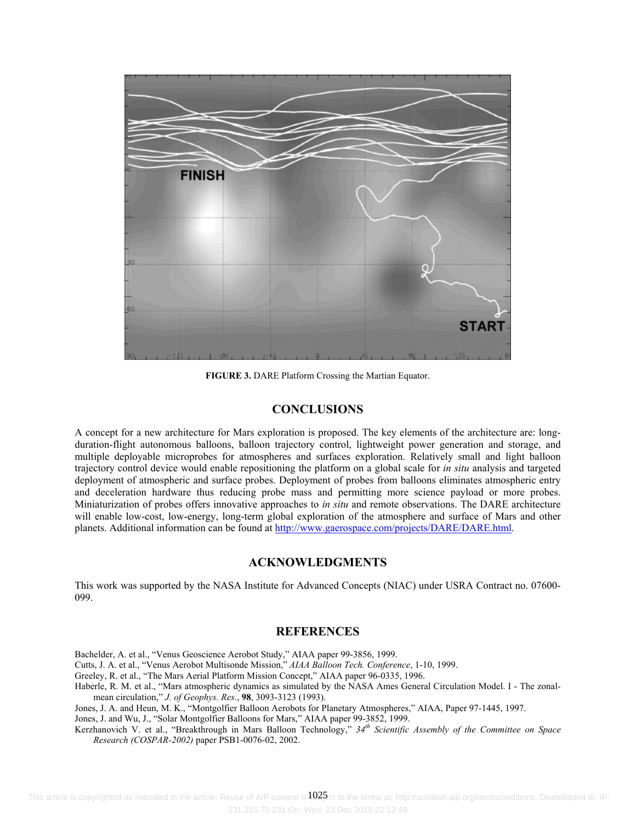

**FIGURE 3.** DARE Platform Crossing the Martian Equator.

### **CONCLUSIONS**

A concept for a new architecture for Mars exploration is proposed. The key elements of the architecture are: longduration-flight autonomous balloons, balloon trajectory control, lightweight power generation and storage, and multiple deployable microprobes for atmospheres and surfaces exploration. Relatively small and light balloon trajectory control device would enable repositioning the platform on a global scale for *in situ* analysis and targeted deployment of atmospheric and surface probes. Deployment of probes from balloons eliminates atmospheric entry and deceleration hardware thus reducing probe mass and permitting more science payload or more probes. Miniaturization of probes offers innovative approaches to *in situ* and remote observations. The DARE architecture will enable low-cost, low-energy, long-term global exploration of the atmosphere and surface of Mars and other planets. Additional information can be found at [http://www.gaerospace.com/projects/DARE/DARE.html.](http://www.gaerospace.com/projects/DARE/DARE.html)

## **ACKNOWLEDGMENTS**

This work was supported by the NASA Institute for Advanced Concepts (NIAC) under USRA Contract no. 07600- 099.

#### **REFERENCES**

Bachelder, A. et al., "Venus Geoscience Aerobot Study," AIAA paper 99-3856, 1999.

Cutts, J. A. et al., "Venus Aerobot Multisonde Mission," *AIAA Balloon Tech. Conference*, 1-10, 1999.

Greeley, R. et al., "The Mars Aerial Platform Mission Concept," AIAA paper 96-0335, 1996.

Haberle, R. M. et al., "Mars atmospheric dynamics as simulated by the NASA Ames General Circulation Model. I - The zonalmean circulation," *J. of Geophys. Res.*, **98**, 3093-3123 (1993).

Jones, J. A. and Heun, M. K., "Montgolfier Balloon Aerobots for Planetary Atmospheres," AIAA, Paper 97-1445, 1997.

Jones, J. and Wu, J., "Solar Montgolfier Balloons for Mars," AIAA paper 99-3852, 1999.

Kerzhanovich V. et al., "Breakthrough in Mars Balloon Technology," *34th Scientific Assembly of the Committee on Space Research (COSPAR-2002)* paper PSB1-0076-02, 2002.